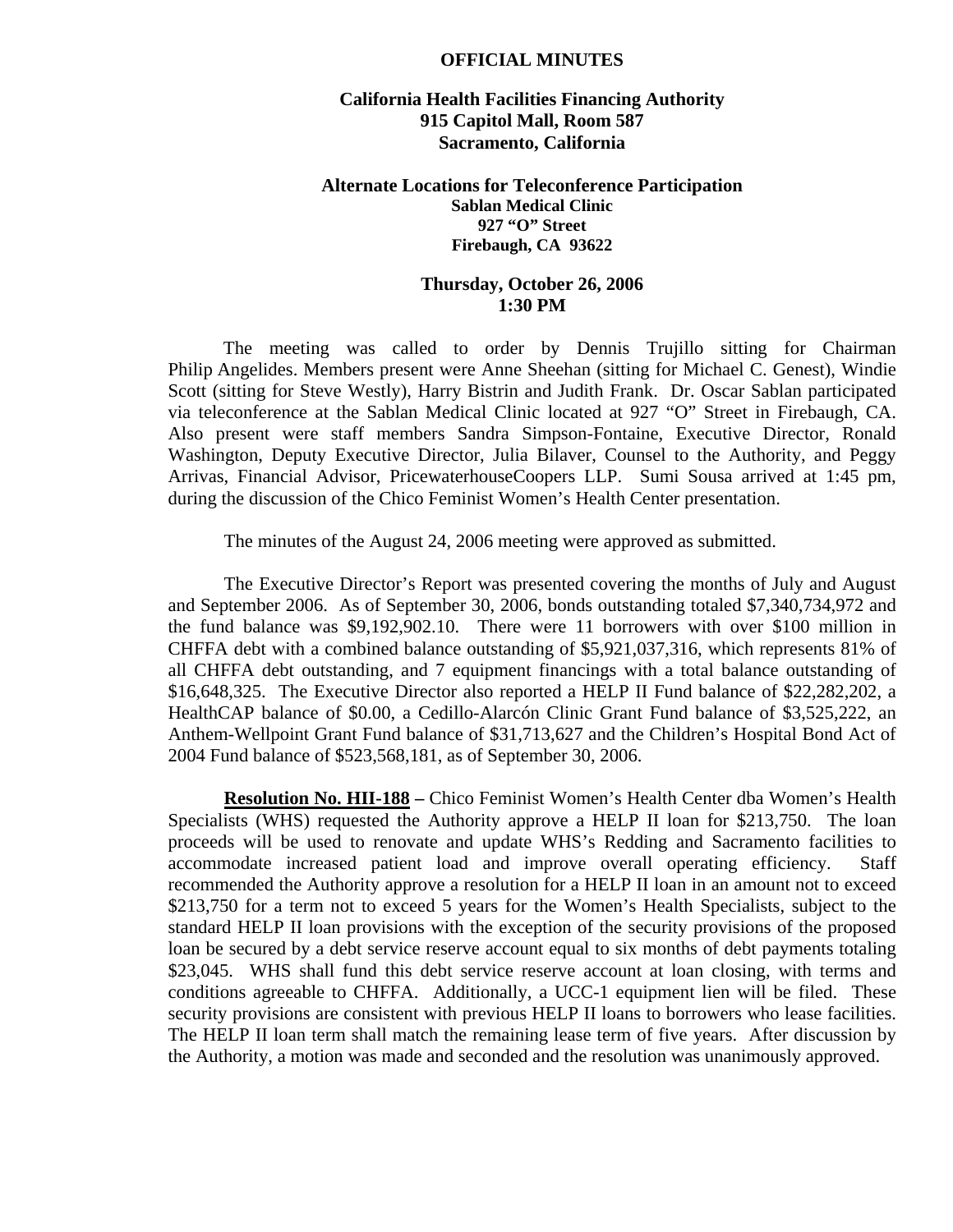## **OFFICIAL MINUTES**

## **California Health Facilities Financing Authority 915 Capitol Mall, Room 587 Sacramento, California**

## **Alternate Locations for Teleconference Participation Sablan Medical Clinic 927 "O" Street Firebaugh, CA 93622**

## **Thursday, October 26, 2006 1:30 PM**

 The meeting was called to order by Dennis Trujillo sitting for Chairman Philip Angelides. Members present were Anne Sheehan (sitting for Michael C. Genest), Windie Scott (sitting for Steve Westly), Harry Bistrin and Judith Frank. Dr. Oscar Sablan participated via teleconference at the Sablan Medical Clinic located at 927 "O" Street in Firebaugh, CA. Also present were staff members Sandra Simpson-Fontaine, Executive Director, Ronald Washington, Deputy Executive Director, Julia Bilaver, Counsel to the Authority, and Peggy Arrivas, Financial Advisor, PricewaterhouseCoopers LLP. Sumi Sousa arrived at 1:45 pm, during the discussion of the Chico Feminist Women's Health Center presentation.

The minutes of the August 24, 2006 meeting were approved as submitted.

 The Executive Director's Report was presented covering the months of July and August and September 2006. As of September 30, 2006, bonds outstanding totaled \$7,340,734,972 and the fund balance was \$9,192,902.10. There were 11 borrowers with over \$100 million in CHFFA debt with a combined balance outstanding of \$5,921,037,316, which represents 81% of all CHFFA debt outstanding, and 7 equipment financings with a total balance outstanding of \$16,648,325. The Executive Director also reported a HELP II Fund balance of \$22,282,202, a HealthCAP balance of \$0.00, a Cedillo-Alarcón Clinic Grant Fund balance of \$3,525,222, an Anthem-Wellpoint Grant Fund balance of \$31,713,627 and the Children's Hospital Bond Act of 2004 Fund balance of \$523,568,181, as of September 30, 2006.

**Resolution No. HII-188 –** Chico Feminist Women's Health Center dba Women's Health Specialists (WHS) requested the Authority approve a HELP II loan for \$213,750. The loan proceeds will be used to renovate and update WHS's Redding and Sacramento facilities to accommodate increased patient load and improve overall operating efficiency. Staff recommended the Authority approve a resolution for a HELP II loan in an amount not to exceed \$213,750 for a term not to exceed 5 years for the Women's Health Specialists, subject to the standard HELP II loan provisions with the exception of the security provisions of the proposed loan be secured by a debt service reserve account equal to six months of debt payments totaling \$23,045. WHS shall fund this debt service reserve account at loan closing, with terms and conditions agreeable to CHFFA. Additionally, a UCC-1 equipment lien will be filed. These security provisions are consistent with previous HELP II loans to borrowers who lease facilities. The HELP II loan term shall match the remaining lease term of five years. After discussion by the Authority, a motion was made and seconded and the resolution was unanimously approved.